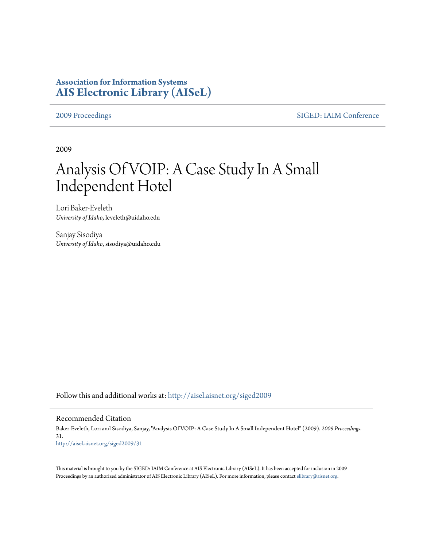## **Association for Information Systems [AIS Electronic Library \(AISeL\)](http://aisel.aisnet.org?utm_source=aisel.aisnet.org%2Fsiged2009%2F31&utm_medium=PDF&utm_campaign=PDFCoverPages)**

[2009 Proceedings](http://aisel.aisnet.org/siged2009?utm_source=aisel.aisnet.org%2Fsiged2009%2F31&utm_medium=PDF&utm_campaign=PDFCoverPages) [SIGED: IAIM Conference](http://aisel.aisnet.org/siged?utm_source=aisel.aisnet.org%2Fsiged2009%2F31&utm_medium=PDF&utm_campaign=PDFCoverPages)

2009

# Analysis Of VOIP: A Case Study In A Small Independent Hotel

Lori Baker-Eveleth *University of Idaho*, leveleth@uidaho.edu

Sanjay Sisodiya *University of Idaho*, sisodiya@uidaho.edu

Follow this and additional works at: [http://aisel.aisnet.org/siged2009](http://aisel.aisnet.org/siged2009?utm_source=aisel.aisnet.org%2Fsiged2009%2F31&utm_medium=PDF&utm_campaign=PDFCoverPages)

#### Recommended Citation

Baker-Eveleth, Lori and Sisodiya, Sanjay, "Analysis Of VOIP: A Case Study In A Small Independent Hotel" (2009). *2009 Proceedings*. 31. [http://aisel.aisnet.org/siged2009/31](http://aisel.aisnet.org/siged2009/31?utm_source=aisel.aisnet.org%2Fsiged2009%2F31&utm_medium=PDF&utm_campaign=PDFCoverPages)

This material is brought to you by the SIGED: IAIM Conference at AIS Electronic Library (AISeL). It has been accepted for inclusion in 2009 Proceedings by an authorized administrator of AIS Electronic Library (AISeL). For more information, please contact [elibrary@aisnet.org](mailto:elibrary@aisnet.org%3E).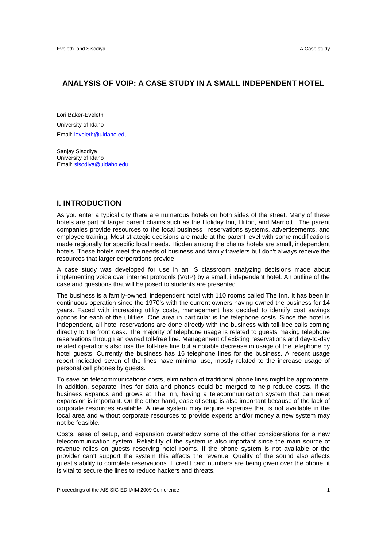#### **ANALYSIS OF VOIP: A CASE STUDY IN A SMALL INDEPENDENT HOTEL**

Lori Baker-Eveleth University of Idaho Email: leveleth@uidaho.edu

Sanjay Sisodiya University of Idaho Email: sisodiya@uidaho.edu

#### **I. INTRODUCTION**

As you enter a typical city there are numerous hotels on both sides of the street. Many of these hotels are part of larger parent chains such as the Holiday Inn, Hilton, and Marriott. The parent companies provide resources to the local business –reservations systems, advertisements, and employee training. Most strategic decisions are made at the parent level with some modifications made regionally for specific local needs. Hidden among the chains hotels are small, independent hotels. These hotels meet the needs of business and family travelers but don't always receive the resources that larger corporations provide.

A case study was developed for use in an IS classroom analyzing decisions made about implementing voice over internet protocols (VoIP) by a small, independent hotel. An outline of the case and questions that will be posed to students are presented.

The business is a family-owned, independent hotel with 110 rooms called The Inn. It has been in continuous operation since the 1970's with the current owners having owned the business for 14 years. Faced with increasing utility costs, management has decided to identify cost savings options for each of the utilities. One area in particular is the telephone costs. Since the hotel is independent, all hotel reservations are done directly with the business with toll-free calls coming directly to the front desk. The majority of telephone usage is related to guests making telephone reservations through an owned toll-free line. Management of existing reservations and day-to-day related operations also use the toll-free line but a notable decrease in usage of the telephone by hotel guests. Currently the business has 16 telephone lines for the business. A recent usage report indicated seven of the lines have minimal use, mostly related to the increase usage of personal cell phones by guests.

To save on telecommunications costs, elimination of traditional phone lines might be appropriate. In addition, separate lines for data and phones could be merged to help reduce costs. If the business expands and grows at The Inn, having a telecommunication system that can meet expansion is important. On the other hand, ease of setup is also important because of the lack of corporate resources available. A new system may require expertise that is not available in the local area and without corporate resources to provide experts and/or money a new system may not be feasible.

Costs, ease of setup, and expansion overshadow some of the other considerations for a new telecommunication system. Reliability of the system is also important since the main source of revenue relies on guests reserving hotel rooms. If the phone system is not available or the provider can't support the system this affects the revenue. Quality of the sound also affects guest's ability to complete reservations. If credit card numbers are being given over the phone, it is vital to secure the lines to reduce hackers and threats.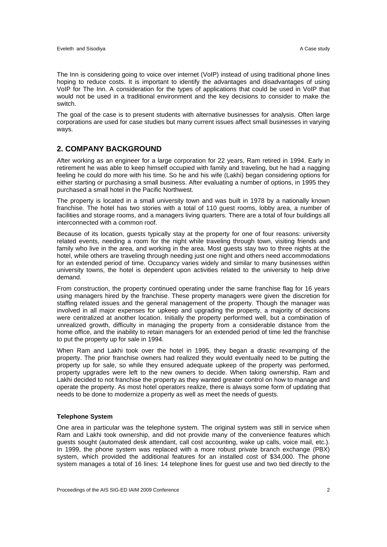The Inn is considering going to voice over internet (VoIP) instead of using traditional phone lines hoping to reduce costs. It is important to identify the advantages and disadvantages of using VoIP for The Inn. A consideration for the types of applications that could be used in VoIP that would not be used in a traditional environment and the key decisions to consider to make the switch.

The goal of the case is to present students with alternative businesses for analysis. Often large corporations are used for case studies but many current issues affect small businesses in varying ways.

#### **2. COMPANY BACKGROUND**

After working as an engineer for a large corporation for 22 years, Ram retired in 1994. Early in retirement he was able to keep himself occupied with family and traveling, but he had a nagging feeling he could do more with his time. So he and his wife (Lakhi) began considering options for either starting or purchasing a small business. After evaluating a number of options, in 1995 they purchased a small hotel in the Pacific Northwest.

The property is located in a small university town and was built in 1978 by a nationally known franchise. The hotel has two stories with a total of 110 guest rooms, lobby area, a number of facilities and storage rooms, and a managers living quarters. There are a total of four buildings all interconnected with a common roof.

Because of its location, guests typically stay at the property for one of four reasons: university related events, needing a room for the night while traveling through town, visiting friends and family who live in the area, and working in the area. Most guests stay two to three nights at the hotel, while others are traveling through needing just one night and others need accommodations for an extended period of time. Occupancy varies widely and similar to many businesses within university towns, the hotel is dependent upon activities related to the university to help drive demand.

From construction, the property continued operating under the same franchise flag for 16 years using managers hired by the franchise. These property managers were given the discretion for staffing related issues and the general management of the property. Though the manager was involved in all major expenses for upkeep and upgrading the property, a majority of decisions were centralized at another location. Initially the property performed well, but a combination of unrealized growth, difficulty in managing the property from a considerable distance from the home office, and the inability to retain managers for an extended period of time led the franchise to put the property up for sale in 1994.

When Ram and Lakhi took over the hotel in 1995, they began a drastic revamping of the property. The prior franchise owners had realized they would eventually need to be putting the property up for sale, so while they ensured adequate upkeep of the property was performed, property upgrades were left to the new owners to decide. When taking ownership, Ram and Lakhi decided to not franchise the property as they wanted greater control on how to manage and operate the property. As most hotel operators realize, there is always some form of updating that needs to be done to modernize a property as well as meet the needs of guests.

#### **Telephone System**

One area in particular was the telephone system. The original system was still in service when Ram and Lakhi took ownership, and did not provide many of the convenience features which guests sought (automated desk attendant, call cost accounting, wake up calls, voice mail, etc.). In 1999, the phone system was replaced with a more robust private branch exchange (PBX) system, which provided the additional features for an installed cost of \$34,000. The phone system manages a total of 16 lines: 14 telephone lines for guest use and two tied directly to the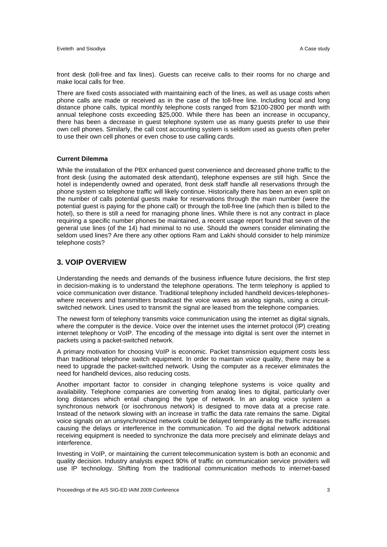front desk (toll-free and fax lines). Guests can receive calls to their rooms for no charge and make local calls for free.

There are fixed costs associated with maintaining each of the lines, as well as usage costs when phone calls are made or received as in the case of the toll-free line. Including local and long distance phone calls, typical monthly telephone costs ranged from \$2100-2800 per month with annual telephone costs exceeding \$25,000. While there has been an increase in occupancy, there has been a decrease in guest telephone system use as many guests prefer to use their own cell phones. Similarly, the call cost accounting system is seldom used as guests often prefer to use their own cell phones or even chose to use calling cards.

#### **Current Dilemma**

While the installation of the PBX enhanced guest convenience and decreased phone traffic to the front desk (using the automated desk attendant), telephone expenses are still high. Since the hotel is independently owned and operated, front desk staff handle all reservations through the phone system so telephone traffic will likely continue. Historically there has been an even split on the number of calls potential guests make for reservations through the main number (were the potential guest is paying for the phone call) or through the toll-free line (which then is billed to the hotel), so there is still a need for managing phone lines. While there is not any contract in place requiring a specific number phones be maintained, a recent usage report found that seven of the general use lines (of the 14) had minimal to no use. Should the owners consider eliminating the seldom used lines? Are there any other options Ram and Lakhi should consider to help minimize telephone costs?

#### **3. VOIP OVERVIEW**

Understanding the needs and demands of the business influence future decisions, the first step in decision-making is to understand the telephone operations. The term telephony is applied to voice communication over distance. Traditional telephony included handheld devices-telephoneswhere receivers and transmitters broadcast the voice waves as analog signals, using a circuitswitched network. Lines used to transmit the signal are leased from the telephone companies.

The newest form of telephony transmits voice communication using the internet as digital signals, where the computer is the device. Voice over the internet uses the internet protocol (IP) creating internet telephony or VoIP. The encoding of the message into digital is sent over the internet in packets using a packet-switched network.

A primary motivation for choosing VoIP is economic. Packet transmission equipment costs less than traditional telephone switch equipment. In order to maintain voice quality, there may be a need to upgrade the packet-switched network. Using the computer as a receiver eliminates the need for handheld devices, also reducing costs.

Another important factor to consider in changing telephone systems is voice quality and availability. Telephone companies are converting from analog lines to digital, particularly over long distances which entail changing the type of network. In an analog voice system a synchronous network (or isochronous network) is designed to move data at a precise rate. Instead of the network slowing with an increase in traffic the data rate remains the same. Digital voice signals on an unsynchronized network could be delayed temporarily as the traffic increases causing the delays or interference in the communication. To aid the digital network additional receiving equipment is needed to synchronize the data more precisely and eliminate delays and interference.

Investing in VoIP, or maintaining the current telecommunication system is both an economic and quality decision. Industry analysts expect 90% of traffic on communication service providers will use IP technology. Shifting from the traditional communication methods to internet-based